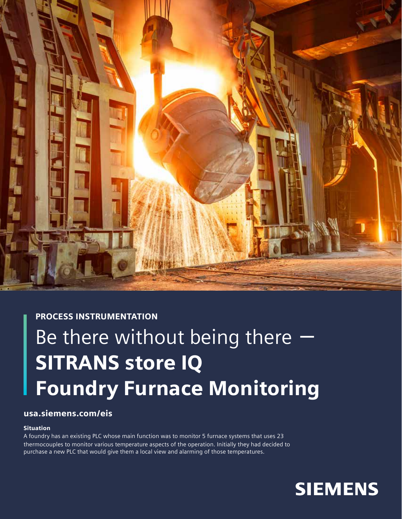

# PROCESS INSTRUMENTATION

# Be there without being there **-** SITRANS store IQ Foundry Furnace Monitoring

# usa.siemens.com/eis

## **Situation**

A foundry has an existing PLC whose main function was to monitor 5 furnace systems that uses 23 thermocouples to monitor various temperature aspects of the operation. Initially they had decided to purchase a new PLC that would give them a local view and alarming of those temperatures.